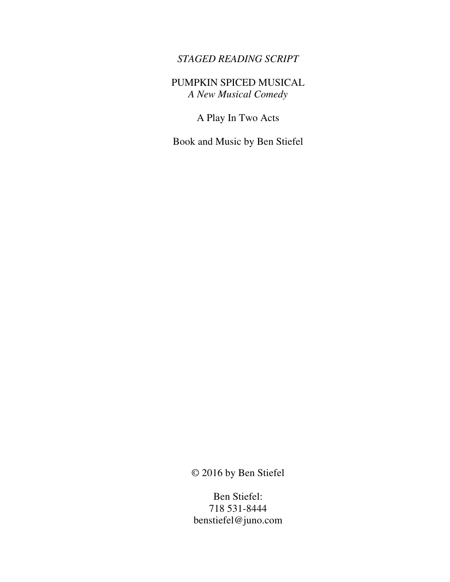# *STAGED READING SCRIPT*

# PUMPKIN SPICED MUSICAL *A New Musical Comedy*

A Play In Two Acts

Book and Music by Ben Stiefel

© 2016 by Ben Stiefel

Ben Stiefel: 718 531-8444 benstiefel@juno.com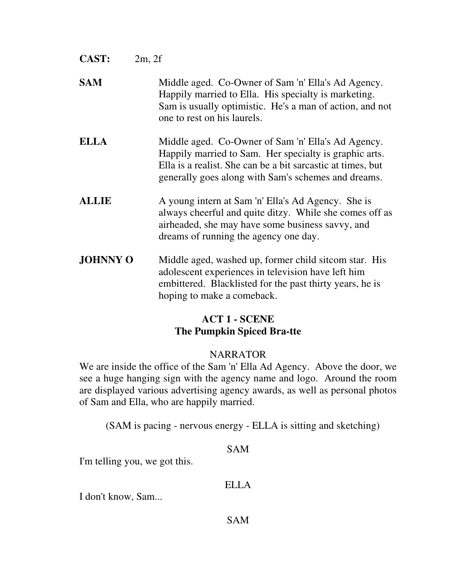| <b>CAST:</b>    | 2m, 2f                                                                                                                                                                                                                             |
|-----------------|------------------------------------------------------------------------------------------------------------------------------------------------------------------------------------------------------------------------------------|
| <b>SAM</b>      | Middle aged. Co-Owner of Sam 'n' Ella's Ad Agency.<br>Happily married to Ella. His specialty is marketing.<br>Sam is usually optimistic. He's a man of action, and not<br>one to rest on his laurels.                              |
| <b>ELLA</b>     | Middle aged. Co-Owner of Sam 'n' Ella's Ad Agency.<br>Happily married to Sam. Her specialty is graphic arts.<br>Ella is a realist. She can be a bit sarcastic at times, but<br>generally goes along with Sam's schemes and dreams. |
| <b>ALLIE</b>    | A young intern at Sam 'n' Ella's Ad Agency. She is<br>always cheerful and quite ditzy. While she comes off as<br>airheaded, she may have some business savvy, and<br>dreams of running the agency one day.                         |
| <b>JOHNNY O</b> | Middle aged, washed up, former child sitcom star. His<br>adolescent experiences in television have left him<br>embittered. Blacklisted for the past thirty years, he is<br>hoping to make a comeback.                              |

# **ACT 1 - SCENE The Pumpkin Spiced Bra-tte**

# NARRATOR

We are inside the office of the Sam 'n' Ella Ad Agency. Above the door, we see a huge hanging sign with the agency name and logo. Around the room are displayed various advertising agency awards, as well as personal photos of Sam and Ella, who are happily married.

(SAM is pacing - nervous energy - ELLA is sitting and sketching)

| SAM |  |
|-----|--|
|     |  |

## ELLA

I don't know, Sam...

I'm telling you, we got this.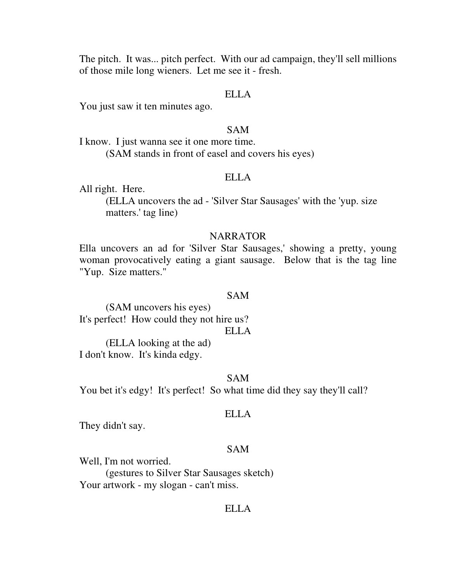The pitch. It was... pitch perfect. With our ad campaign, they'll sell millions of those mile long wieners. Let me see it - fresh.

#### ELLA

You just saw it ten minutes ago.

## SAM

I know. I just wanna see it one more time. (SAM stands in front of easel and covers his eyes)

#### ELLA

All right. Here.

 (ELLA uncovers the ad - 'Silver Star Sausages' with the 'yup. size matters.' tag line)

## **NARRATOR**

Ella uncovers an ad for 'Silver Star Sausages,' showing a pretty, young woman provocatively eating a giant sausage. Below that is the tag line "Yup. Size matters."

#### SAM

 (SAM uncovers his eyes) It's perfect! How could they not hire us? ELLA

 (ELLA looking at the ad) I don't know. It's kinda edgy.

## SAM

You bet it's edgy! It's perfect! So what time did they say they'll call?

#### ELLA

They didn't say.

## SAM

Well, I'm not worried.

 (gestures to Silver Star Sausages sketch) Your artwork - my slogan - can't miss.

#### ELLA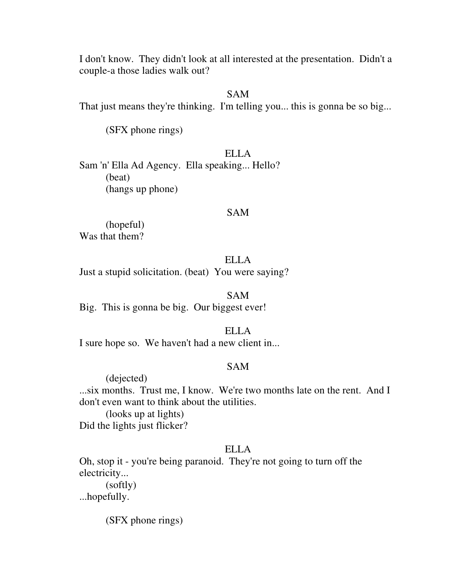I don't know. They didn't look at all interested at the presentation. Didn't a couple-a those ladies walk out?

## SAM

That just means they're thinking. I'm telling you... this is gonna be so big...

(SFX phone rings)

ELLA Sam 'n' Ella Ad Agency. Ella speaking... Hello? (beat) (hangs up phone)

#### SAM

 (hopeful) Was that them?

## ELLA

Just a stupid solicitation. (beat) You were saying?

## SAM

Big. This is gonna be big. Our biggest ever!

ELLA

I sure hope so. We haven't had a new client in...

### SAM

 (dejected) ...six months. Trust me, I know. We're two months late on the rent. And I don't even want to think about the utilities. (looks up at lights)

Did the lights just flicker?

# ELLA

Oh, stop it - you're being paranoid. They're not going to turn off the electricity...

 (softly) ...hopefully.

(SFX phone rings)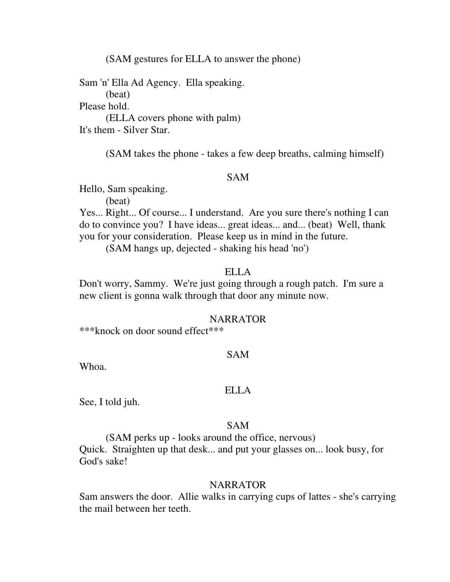(SAM gestures for ELLA to answer the phone)

Sam 'n' Ella Ad Agency. Ella speaking. (beat)

Please hold.

(ELLA covers phone with palm)

It's them - Silver Star.

(SAM takes the phone - takes a few deep breaths, calming himself)

## SAM

Hello, Sam speaking.

(beat)

Yes... Right... Of course... I understand. Are you sure there's nothing I can do to convince you? I have ideas... great ideas... and... (beat) Well, thank you for your consideration. Please keep us in mind in the future.

(SAM hangs up, dejected - shaking his head 'no')

# ELLA

Don't worry, Sammy. We're just going through a rough patch. I'm sure a new client is gonna walk through that door any minute now.

## NARRATOR

\*\*\*knock on door sound effect\*\*\*

# SAM

Whoa.

## ELLA

See, I told juh.

## SAM

 (SAM perks up - looks around the office, nervous) Quick. Straighten up that desk... and put your glasses on... look busy, for God's sake!

## NARRATOR

Sam answers the door. Allie walks in carrying cups of lattes - she's carrying the mail between her teeth.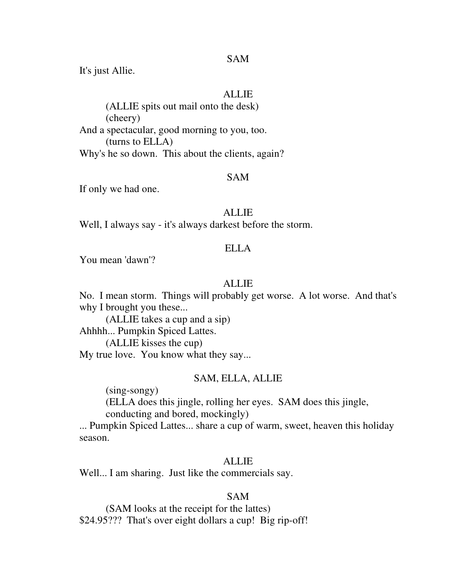#### SAM

It's just Allie.

# **ALLIE**

 (ALLIE spits out mail onto the desk) (cheery) And a spectacular, good morning to you, too. (turns to ELLA) Why's he so down. This about the clients, again?

## SAM

If only we had one.

## ALLIE

Well, I always say - it's always darkest before the storm.

## ELLA

You mean 'dawn'?

# **ALLIE**

No. I mean storm. Things will probably get worse. A lot worse. And that's why I brought you these...

 (ALLIE takes a cup and a sip) Ahhhh... Pumpkin Spiced Lattes. (ALLIE kisses the cup) My true love. You know what they say...

# SAM, ELLA, ALLIE

(sing-songy)

 (ELLA does this jingle, rolling her eyes. SAM does this jingle, conducting and bored, mockingly)

... Pumpkin Spiced Lattes... share a cup of warm, sweet, heaven this holiday season.

## ALLIE

Well... I am sharing. Just like the commercials say.

## SAM

 (SAM looks at the receipt for the lattes) \$24.95??? That's over eight dollars a cup! Big rip-off!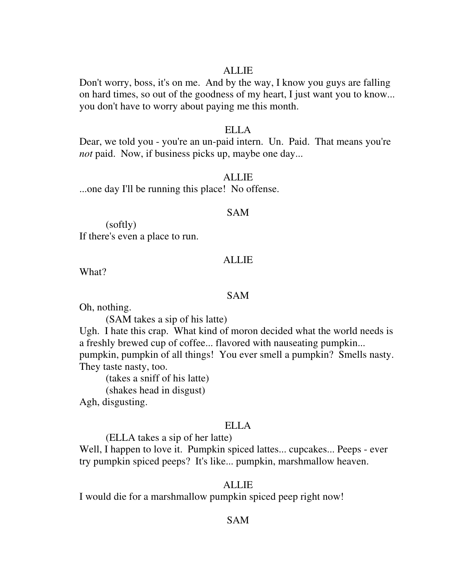# **ALLIE**

Don't worry, boss, it's on me. And by the way, I know you guys are falling on hard times, so out of the goodness of my heart, I just want you to know... you don't have to worry about paying me this month.

## ELLA

Dear, we told you - you're an un-paid intern. Un. Paid. That means you're *not* paid. Now, if business picks up, maybe one day...

## ALLIE

...one day I'll be running this place! No offense.

## SAM

 (softly) If there's even a place to run.

## ALLIE

What?

### SAM

Oh, nothing.

(SAM takes a sip of his latte)

Ugh. I hate this crap. What kind of moron decided what the world needs is a freshly brewed cup of coffee... flavored with nauseating pumpkin... pumpkin, pumpkin of all things! You ever smell a pumpkin? Smells nasty. They taste nasty, too.

 (takes a sniff of his latte) (shakes head in disgust)

Agh, disgusting.

## ELLA

(ELLA takes a sip of her latte)

Well, I happen to love it. Pumpkin spiced lattes... cupcakes... Peeps - ever try pumpkin spiced peeps? It's like... pumpkin, marshmallow heaven.

## ALLIE

I would die for a marshmallow pumpkin spiced peep right now!

# SAM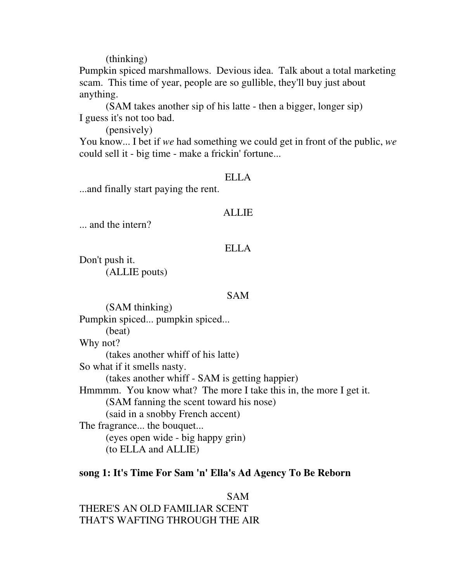(thinking)

Pumpkin spiced marshmallows. Devious idea. Talk about a total marketing scam. This time of year, people are so gullible, they'll buy just about anything.

 (SAM takes another sip of his latte - then a bigger, longer sip) I guess it's not too bad.

(pensively)

You know... I bet if *we* had something we could get in front of the public, *we* could sell it - big time - make a frickin' fortune...

#### ELLA

...and finally start paying the rent.

#### ALLIE

... and the intern?

### ELLA

Don't push it. (ALLIE pouts)

#### SAM

 (SAM thinking) Pumpkin spiced... pumpkin spiced... (beat) Why not? (takes another whiff of his latte) So what if it smells nasty. (takes another whiff - SAM is getting happier) Hmmmm. You know what? The more I take this in, the more I get it. (SAM fanning the scent toward his nose) (said in a snobby French accent) The fragrance... the bouquet... (eyes open wide - big happy grin) (to ELLA and ALLIE)

### **song 1: It's Time For Sam 'n' Ella's Ad Agency To Be Reborn**

SAM THERE'S AN OLD FAMILIAR SCENT THAT'S WAFTING THROUGH THE AIR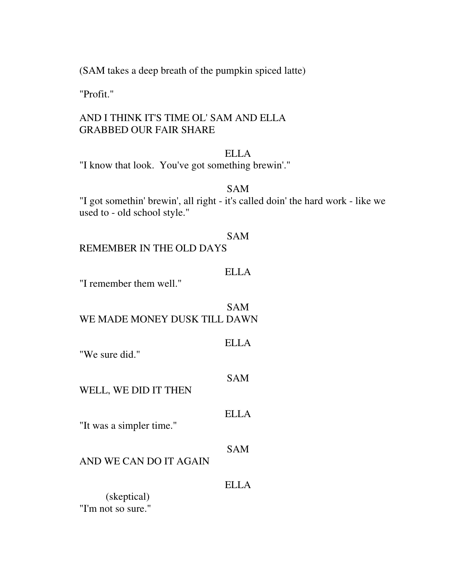(SAM takes a deep breath of the pumpkin spiced latte)

"Profit."

# AND I THINK IT'S TIME OL' SAM AND ELLA GRABBED OUR FAIR SHARE

# ELLA

"I know that look. You've got something brewin'."

# SAM

"I got somethin' brewin', all right - it's called doin' the hard work - like we used to - old school style."

## SAM

REMEMBER IN THE OLD DAYS

## ELLA

"I remember them well."

# SAM WE MADE MONEY DUSK TILL DAWN

ELLA "We sure did." SAM WELL, WE DID IT THEN ELLA "It was a simpler time." SAM AND WE CAN DO IT AGAIN ELLA (skeptical) "I'm not so sure."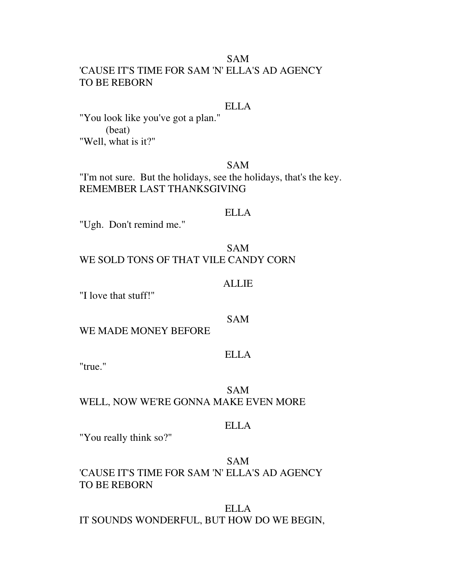# SAM

# 'CAUSE IT'S TIME FOR SAM 'N' ELLA'S AD AGENCY TO BE REBORN

### ELLA

"You look like you've got a plan." (beat) "Well, what is it?"

## SAM

"I'm not sure. But the holidays, see the holidays, that's the key. REMEMBER LAST THANKSGIVING

#### ELLA

"Ugh. Don't remind me."

# SAM WE SOLD TONS OF THAT VILE CANDY CORN

#### ALLIE

"I love that stuff!"

### SAM

### WE MADE MONEY BEFORE

## ELLA

"true."

# SAM

# WELL, NOW WE'RE GONNA MAKE EVEN MORE

## ELLA

"You really think so?"

# SAM 'CAUSE IT'S TIME FOR SAM 'N' ELLA'S AD AGENCY TO BE REBORN

## ELLA IT SOUNDS WONDERFUL, BUT HOW DO WE BEGIN,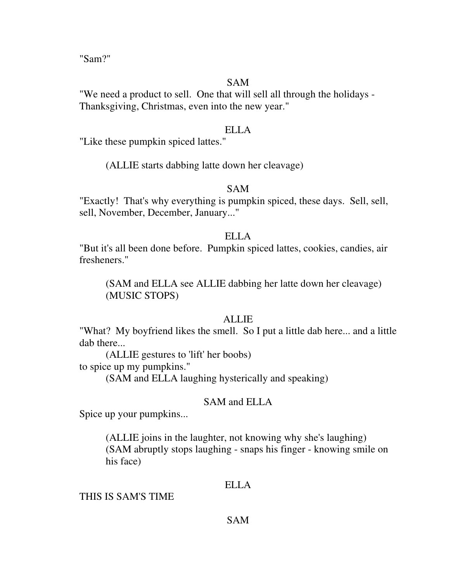"Sam?"

# SAM

"We need a product to sell. One that will sell all through the holidays - Thanksgiving, Christmas, even into the new year."

# ELLA

"Like these pumpkin spiced lattes."

(ALLIE starts dabbing latte down her cleavage)

# SAM

"Exactly! That's why everything is pumpkin spiced, these days. Sell, sell, sell, November, December, January..."

## ELLA

"But it's all been done before. Pumpkin spiced lattes, cookies, candies, air fresheners."

 (SAM and ELLA see ALLIE dabbing her latte down her cleavage) (MUSIC STOPS)

## ALLIE

"What? My boyfriend likes the smell. So I put a little dab here... and a little dab there...

 (ALLIE gestures to 'lift' her boobs) to spice up my pumpkins."

(SAM and ELLA laughing hysterically and speaking)

# SAM and ELLA

Spice up your pumpkins...

 (ALLIE joins in the laughter, not knowing why she's laughing) (SAM abruptly stops laughing - snaps his finger - knowing smile on his face)

## ELLA

THIS IS SAM'S TIME

# SAM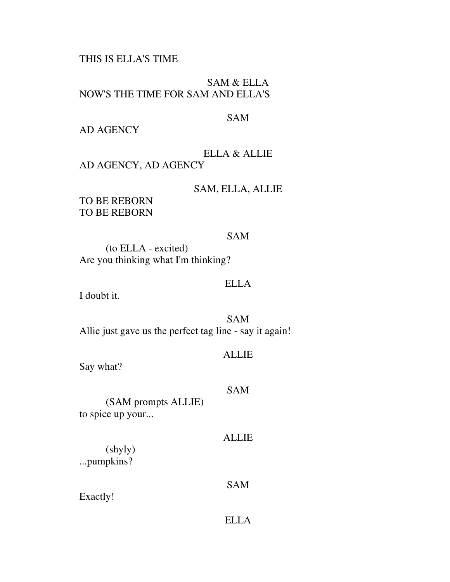#### THIS IS ELLA'S TIME

# SAM & ELLA NOW'S THE TIME FOR SAM AND ELLA'S

# SAM

AD AGENCY

# ELLA & ALLIE

AD AGENCY, AD AGENCY

# SAM, ELLA, ALLIE

TO BE REBORN TO BE REBORN

## SAM

 (to ELLA - excited) Are you thinking what I'm thinking?

## ELLA

I doubt it.

SAM Allie just gave us the perfect tag line - say it again!

## ALLIE

Say what?

## SAM

 (SAM prompts ALLIE) to spice up your...

# ALLIE

 (shyly) ...pumpkins?

# SAM

Exactly!

### ELLA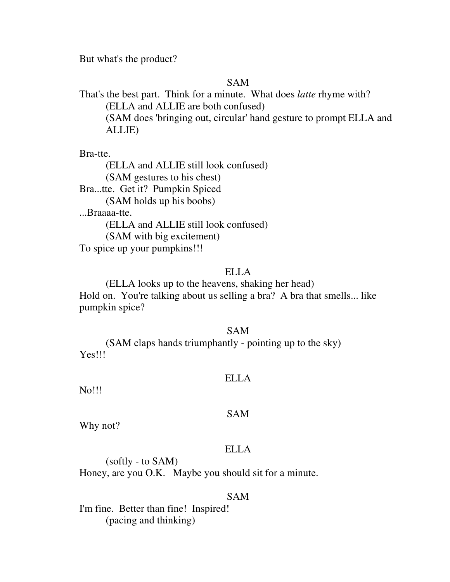But what's the product?

## SAM

That's the best part. Think for a minute. What does *latte* rhyme with? (ELLA and ALLIE are both confused) (SAM does 'bringing out, circular' hand gesture to prompt ELLA and ALLIE)

Bra-tte.

 (ELLA and ALLIE still look confused) (SAM gestures to his chest) Bra...tte. Get it? Pumpkin Spiced (SAM holds up his boobs) ...Braaaa-tte. (ELLA and ALLIE still look confused) (SAM with big excitement) To spice up your pumpkins!!!

# ELLA

 (ELLA looks up to the heavens, shaking her head) Hold on. You're talking about us selling a bra? A bra that smells... like pumpkin spice?

## SAM

 (SAM claps hands triumphantly - pointing up to the sky) Yes!!!

## ELLA

No!!!

## SAM

Why not?

# ELLA

 (softly - to SAM) Honey, are you O.K. Maybe you should sit for a minute.

## SAM

I'm fine. Better than fine! Inspired! (pacing and thinking)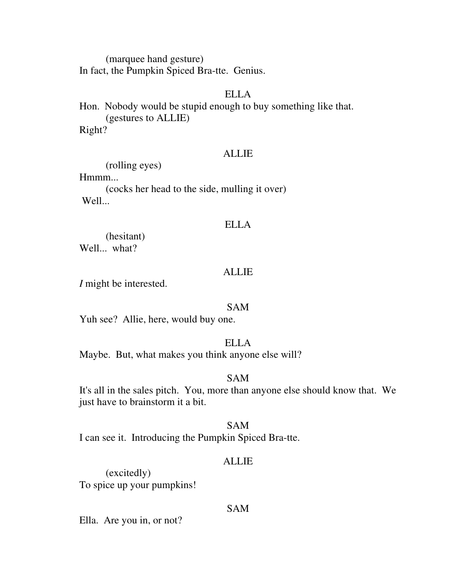(marquee hand gesture) In fact, the Pumpkin Spiced Bra-tte. Genius.

# ELLA

Hon. Nobody would be stupid enough to buy something like that. (gestures to ALLIE) Right?

### ALLIE

(rolling eyes)

Hmmm...

 (cocks her head to the side, mulling it over) Well...

## ELLA

 (hesitant) Well... what?

## **ALLIE**

*I* might be interested.

## SAM

Yuh see? Allie, here, would buy one.

# ELLA

Maybe. But, what makes you think anyone else will?

# SAM

It's all in the sales pitch. You, more than anyone else should know that. We just have to brainstorm it a bit.

## SAM

I can see it. Introducing the Pumpkin Spiced Bra-tte.

# ALLIE

 (excitedly) To spice up your pumpkins!

## SAM

Ella. Are you in, or not?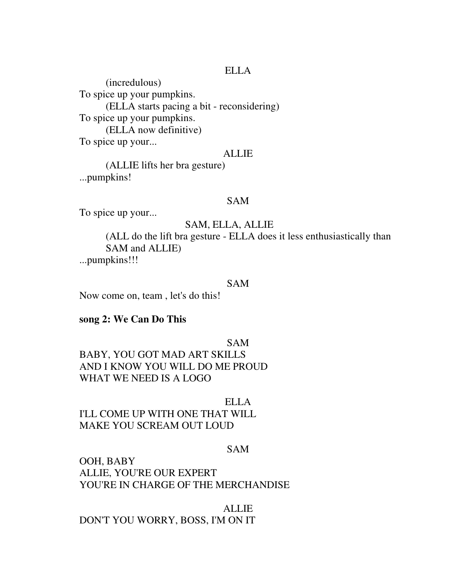## ELLA

 (incredulous) To spice up your pumpkins. (ELLA starts pacing a bit - reconsidering) To spice up your pumpkins. (ELLA now definitive) To spice up your...

#### ALLIE

 (ALLIE lifts her bra gesture) ...pumpkins!

#### SAM

To spice up your...

## SAM, ELLA, ALLIE

 (ALL do the lift bra gesture - ELLA does it less enthusiastically than SAM and ALLIE)

...pumpkins!!!

#### SAM

Now come on, team , let's do this!

#### **song 2: We Can Do This**

SAM

BABY, YOU GOT MAD ART SKILLS AND I KNOW YOU WILL DO ME PROUD WHAT WE NEED IS A LOGO

#### ELLA

I'LL COME UP WITH ONE THAT WILL MAKE YOU SCREAM OUT LOUD

#### SAM

OOH, BABY ALLIE, YOU'RE OUR EXPERT YOU'RE IN CHARGE OF THE MERCHANDISE

ALLIE DON'T YOU WORRY, BOSS, I'M ON IT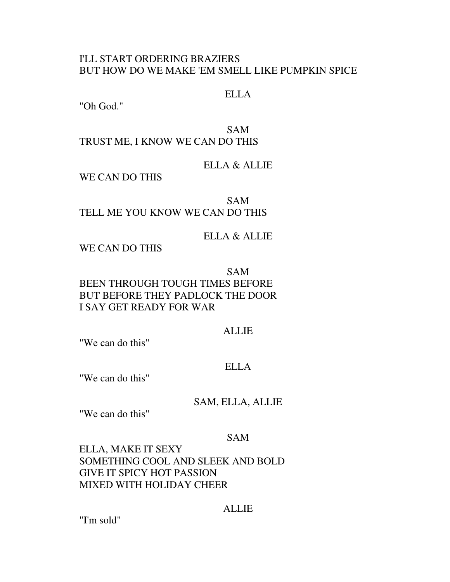## I'LL START ORDERING BRAZIERS BUT HOW DO WE MAKE 'EM SMELL LIKE PUMPKIN SPICE

# ELLA

"Oh God."

# SAM TRUST ME, I KNOW WE CAN DO THIS

# ELLA & ALLIE

WE CAN DO THIS

SAM TELL ME YOU KNOW WE CAN DO THIS

# ELLA & ALLIE

WE CAN DO THIS

SAM BEEN THROUGH TOUGH TIMES BEFORE BUT BEFORE THEY PADLOCK THE DOOR I SAY GET READY FOR WAR

### ALLIE

"We can do this"

## ELLA

"We can do this"

## SAM, ELLA, ALLIE

"We can do this"

## SAM

ELLA, MAKE IT SEXY SOMETHING COOL AND SLEEK AND BOLD GIVE IT SPICY HOT PASSION MIXED WITH HOLIDAY CHEER

## ALLIE

"I'm sold"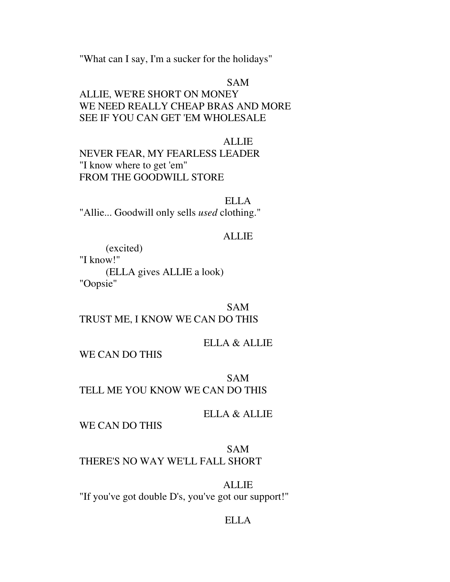"What can I say, I'm a sucker for the holidays"

#### SAM

# ALLIE, WE'RE SHORT ON MONEY WE NEED REALLY CHEAP BRAS AND MORE SEE IF YOU CAN GET 'EM WHOLESALE

# ALLIE

NEVER FEAR, MY FEARLESS LEADER "I know where to get 'em" FROM THE GOODWILL STORE

#### ELLA

"Allie... Goodwill only sells *used* clothing."

## ALLIE

(excited)

"I know!"

(ELLA gives ALLIE a look)

"Oopsie"

SAM TRUST ME, I KNOW WE CAN DO THIS

## ELLA & ALLIE

WE CAN DO THIS

SAM TELL ME YOU KNOW WE CAN DO THIS

### ELLA & ALLIE

WE CAN DO THIS

SAM THERE'S NO WAY WE'LL FALL SHORT

## ALLIE

"If you've got double D's, you've got our support!"

#### ELLA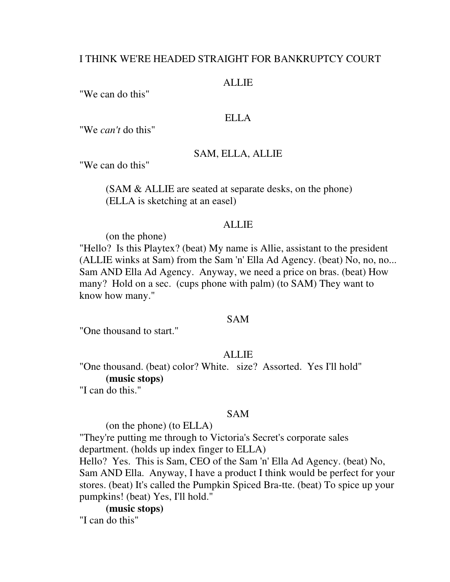## I THINK WE'RE HEADED STRAIGHT FOR BANKRUPTCY COURT

#### ALLIE

"We can do this"

## ELLA

"We *can't* do this"

#### SAM, ELLA, ALLIE

"We can do this"

 (SAM & ALLIE are seated at separate desks, on the phone) (ELLA is sketching at an easel)

#### **ALLIE**

(on the phone)

"Hello? Is this Playtex? (beat) My name is Allie, assistant to the president (ALLIE winks at Sam) from the Sam 'n' Ella Ad Agency. (beat) No, no, no... Sam AND Ella Ad Agency. Anyway, we need a price on bras. (beat) How many? Hold on a sec. (cups phone with palm) (to SAM) They want to know how many."

#### SAM

"One thousand to start."

#### ALLIE

"One thousand. (beat) color? White. size? Assorted. Yes I'll hold" **(music stops)** 

"I can do this."

#### SAM

(on the phone) (to ELLA)

"They're putting me through to Victoria's Secret's corporate sales department. (holds up index finger to ELLA)

Hello? Yes. This is Sam, CEO of the Sam 'n' Ella Ad Agency. (beat) No, Sam AND Ella. Anyway, I have a product I think would be perfect for your stores. (beat) It's called the Pumpkin Spiced Bra-tte. (beat) To spice up your pumpkins! (beat) Yes, I'll hold."

# **(music stops)**

"I can do this"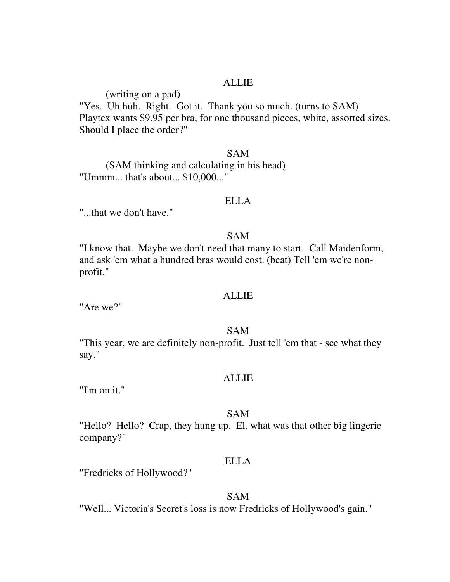# ALLIE

(writing on a pad)

"Yes. Uh huh. Right. Got it. Thank you so much. (turns to SAM) Playtex wants \$9.95 per bra, for one thousand pieces, white, assorted sizes. Should I place the order?"

## SAM

 (SAM thinking and calculating in his head) "Ummm... that's about... \$10,000..."

## ELLA

"...that we don't have."

### SAM

"I know that. Maybe we don't need that many to start. Call Maidenform, and ask 'em what a hundred bras would cost. (beat) Tell 'em we're nonprofit."

### ALLIE

"Are we?"

### SAM

"This year, we are definitely non-profit. Just tell 'em that - see what they say."

#### ALLIE

"I'm on it."

### SAM

"Hello? Hello? Crap, they hung up. El, what was that other big lingerie company?"

## ELLA

"Fredricks of Hollywood?"

## SAM

"Well... Victoria's Secret's loss is now Fredricks of Hollywood's gain."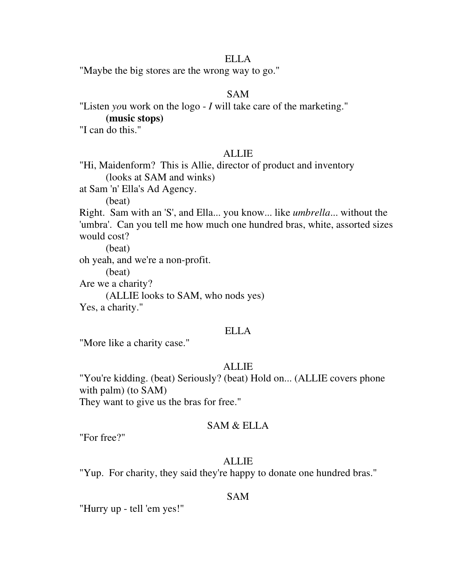## ELLA

"Maybe the big stores are the wrong way to go."

# SAM

"Listen *yo*u work on the logo - *I* will take care of the marketing."

**(music stops)** 

"I can do this."

## ALLIE

"Hi, Maidenform? This is Allie, director of product and inventory (looks at SAM and winks)

at Sam 'n' Ella's Ad Agency.

(beat)

Right. Sam with an 'S', and Ella... you know... like *umbrella*... without the 'umbra'. Can you tell me how much one hundred bras, white, assorted sizes would cost?

(beat)

oh yeah, and we're a non-profit.

(beat)

Are we a charity?

(ALLIE looks to SAM, who nods yes)

Yes, a charity."

### ELLA

"More like a charity case."

## **ALLIE**

"You're kidding. (beat) Seriously? (beat) Hold on... (ALLIE covers phone with palm) (to SAM) They want to give us the bras for free."

## SAM & ELLA

"For free?"

## ALLIE

"Yup. For charity, they said they're happy to donate one hundred bras."

## SAM

"Hurry up - tell 'em yes!"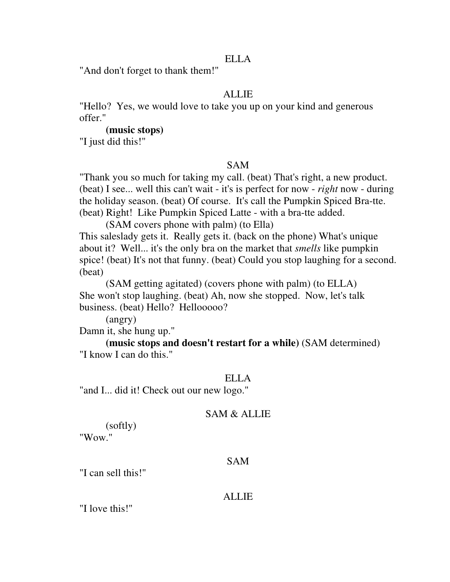## ELLA

"And don't forget to thank them!"

# **ALLIE**

"Hello? Yes, we would love to take you up on your kind and generous offer."

## **(music stops)**

"I just did this!"

# SAM

"Thank you so much for taking my call. (beat) That's right, a new product. (beat) I see... well this can't wait - it's is perfect for now - *right* now - during the holiday season. (beat) Of course. It's call the Pumpkin Spiced Bra-tte. (beat) Right! Like Pumpkin Spiced Latte - with a bra-tte added.

(SAM covers phone with palm) (to Ella)

This saleslady gets it. Really gets it. (back on the phone) What's unique about it? Well... it's the only bra on the market that *smells* like pumpkin spice! (beat) It's not that funny. (beat) Could you stop laughing for a second. (beat)

 (SAM getting agitated) (covers phone with palm) (to ELLA) She won't stop laughing. (beat) Ah, now she stopped. Now, let's talk business. (beat) Hello? Hellooooo?

(angry)

Damn it, she hung up."

**(music stops and doesn't restart for a while)** (SAM determined) "I know I can do this."

## ELLA

"and I... did it! Check out our new logo."

## SAM & ALLIE

 (softly) "Wow."

## SAM

"I can sell this!"

## **ALLIE**

"I love this!"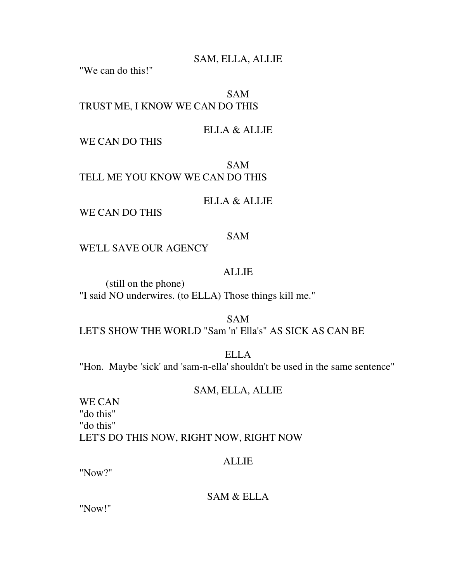SAM, ELLA, ALLIE

"We can do this!"

# SAM TRUST ME, I KNOW WE CAN DO THIS

# ELLA & ALLIE

WE CAN DO THIS

SAM TELL ME YOU KNOW WE CAN DO THIS

## ELLA & ALLIE

WE CAN DO THIS

# SAM

WE'LL SAVE OUR AGENCY

## **ALLIE**

 (still on the phone) "I said NO underwires. (to ELLA) Those things kill me."

SAM LET'S SHOW THE WORLD "Sam 'n' Ella's" AS SICK AS CAN BE

ELLA "Hon. Maybe 'sick' and 'sam-n-ella' shouldn't be used in the same sentence"

## SAM, ELLA, ALLIE

WE CAN "do this" "do this" LET'S DO THIS NOW, RIGHT NOW, RIGHT NOW

## ALLIE

"Now?"

## SAM & ELLA

"Now!"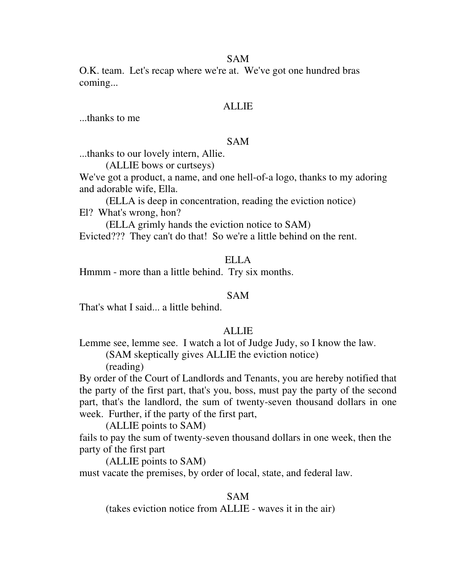#### SAM

O.K. team. Let's recap where we're at. We've got one hundred bras coming...

#### ALLIE

...thanks to me

### SAM

...thanks to our lovely intern, Allie.

(ALLIE bows or curtseys)

We've got a product, a name, and one hell-of-a logo, thanks to my adoring and adorable wife, Ella.

 (ELLA is deep in concentration, reading the eviction notice) El? What's wrong, hon?

(ELLA grimly hands the eviction notice to SAM)

Evicted??? They can't do that! So we're a little behind on the rent.

## ELLA

Hmmm - more than a little behind. Try six months.

### SAM

That's what I said... a little behind.

#### ALLIE

Lemme see, lemme see. I watch a lot of Judge Judy, so I know the law.

(SAM skeptically gives ALLIE the eviction notice)

(reading)

By order of the Court of Landlords and Tenants, you are hereby notified that the party of the first part, that's you, boss, must pay the party of the second part, that's the landlord, the sum of twenty-seven thousand dollars in one week. Further, if the party of the first part,

(ALLIE points to SAM)

fails to pay the sum of twenty-seven thousand dollars in one week, then the party of the first part

(ALLIE points to SAM)

must vacate the premises, by order of local, state, and federal law.

#### SAM

(takes eviction notice from ALLIE - waves it in the air)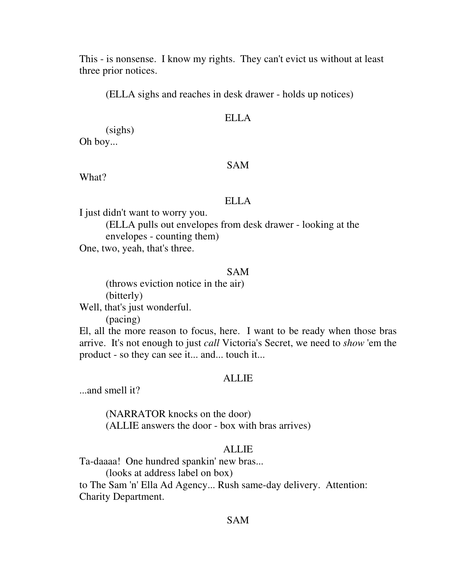This - is nonsense. I know my rights. They can't evict us without at least three prior notices.

(ELLA sighs and reaches in desk drawer - holds up notices)

## ELLA

 (sighs) Oh boy...

#### SAM

What?

#### ELLA

I just didn't want to worry you.

 (ELLA pulls out envelopes from desk drawer - looking at the envelopes - counting them)

One, two, yeah, that's three.

#### SAM

 (throws eviction notice in the air) (bitterly)

Well, that's just wonderful.

(pacing)

El, all the more reason to focus, here. I want to be ready when those bras arrive. It's not enough to just *call* Victoria's Secret, we need to *show* 'em the product - so they can see it... and... touch it...

### **ALLIE**

...and smell it?

 (NARRATOR knocks on the door) (ALLIE answers the door - box with bras arrives)

## ALLIE

Ta-daaaa! One hundred spankin' new bras...

(looks at address label on box)

to The Sam 'n' Ella Ad Agency... Rush same-day delivery. Attention: Charity Department.

#### SAM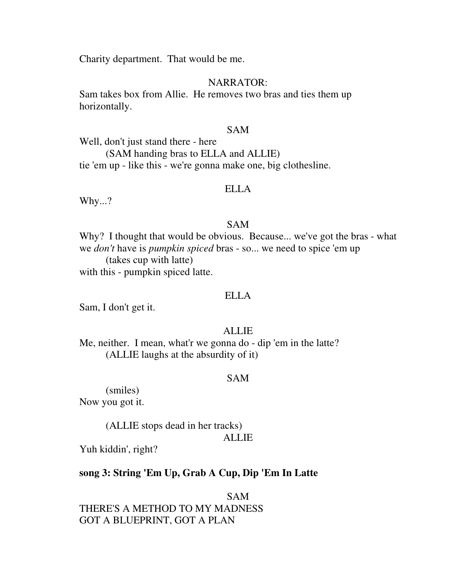Charity department. That would be me.

#### NARRATOR:

Sam takes box from Allie. He removes two bras and ties them up horizontally.

## SAM

Well, don't just stand there - here

 (SAM handing bras to ELLA and ALLIE) tie 'em up - like this - we're gonna make one, big clothesline.

#### ELLA

Why...?

## SAM

Why? I thought that would be obvious. Because... we've got the bras - what we *don't* have is *pumpkin spiced* bras - so... we need to spice 'em up (takes cup with latte) with this - pumpkin spiced latte.

### ELLA

Sam, I don't get it.

## ALLIE

Me, neither. I mean, what'r we gonna do - dip 'em in the latte? (ALLIE laughs at the absurdity of it)

#### SAM

 (smiles) Now you got it.

(ALLIE stops dead in her tracks)

#### ALLIE

Yuh kiddin', right?

## **song 3: String 'Em Up, Grab A Cup, Dip 'Em In Latte**

SAM THERE'S A METHOD TO MY MADNESS GOT A BLUEPRINT, GOT A PLAN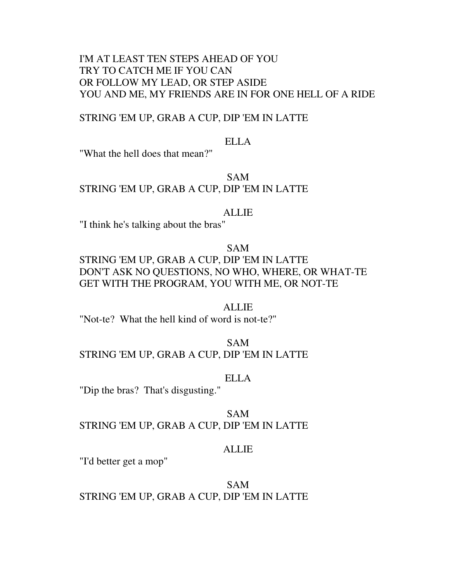# I'M AT LEAST TEN STEPS AHEAD OF YOU TRY TO CATCH ME IF YOU CAN OR FOLLOW MY LEAD, OR STEP ASIDE YOU AND ME, MY FRIENDS ARE IN FOR ONE HELL OF A RIDE

#### STRING 'EM UP, GRAB A CUP, DIP 'EM IN LATTE

### ELLA

"What the hell does that mean?"

## SAM STRING 'EM UP, GRAB A CUP, DIP 'EM IN LATTE

#### ALLIE

"I think he's talking about the bras"

SAM

STRING 'EM UP, GRAB A CUP, DIP 'EM IN LATTE DON'T ASK NO QUESTIONS, NO WHO, WHERE, OR WHAT-TE GET WITH THE PROGRAM, YOU WITH ME, OR NOT-TE

#### ALLIE

"Not-te? What the hell kind of word is not-te?"

# SAM STRING 'EM UP, GRAB A CUP, DIP 'EM IN LATTE

#### ELLA

"Dip the bras? That's disgusting."

SAM STRING 'EM UP, GRAB A CUP, DIP 'EM IN LATTE

#### ALLIE

"I'd better get a mop"

SAM STRING 'EM UP, GRAB A CUP, DIP 'EM IN LATTE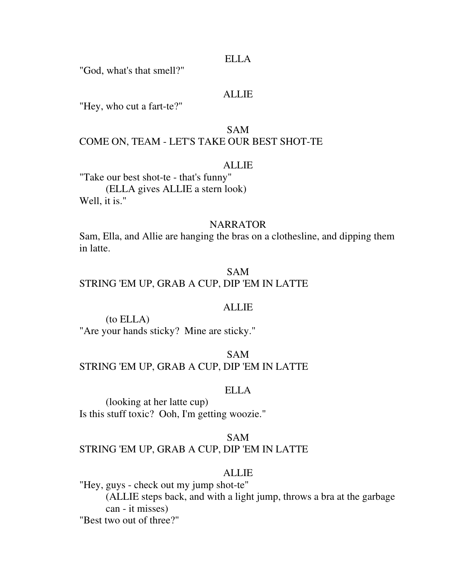#### ELLA

"God, what's that smell?"

# **ALLIE**

"Hey, who cut a fart-te?"

# SAM COME ON, TEAM - LET'S TAKE OUR BEST SHOT-TE

#### ALLIE

"Take our best shot-te - that's funny" (ELLA gives ALLIE a stern look) Well, it is."

#### **NARRATOR**

Sam, Ella, and Allie are hanging the bras on a clothesline, and dipping them in latte.

## SAM

# STRING 'EM UP, GRAB A CUP, DIP 'EM IN LATTE

#### ALLIE

 (to ELLA) "Are your hands sticky? Mine are sticky."

SAM STRING 'EM UP, GRAB A CUP, DIP 'EM IN LATTE

#### ELLA

 (looking at her latte cup) Is this stuff toxic? Ooh, I'm getting woozie."

# SAM STRING 'EM UP, GRAB A CUP, DIP 'EM IN LATTE

## ALLIE

"Hey, guys - check out my jump shot-te" (ALLIE steps back, and with a light jump, throws a bra at the garbage can - it misses) "Best two out of three?"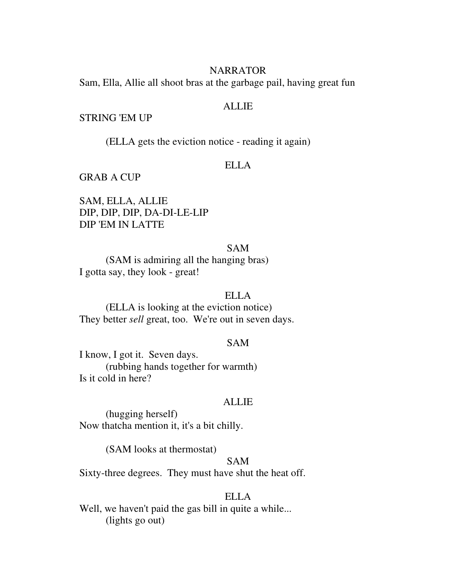#### **NARRATOR**

Sam, Ella, Allie all shoot bras at the garbage pail, having great fun

## ALLIE

#### STRING 'EM UP

(ELLA gets the eviction notice - reading it again)

#### ELLA

GRAB A CUP

SAM, ELLA, ALLIE DIP, DIP, DIP, DA-DI-LE-LIP DIP 'EM IN LATTE

## SAM

 (SAM is admiring all the hanging bras) I gotta say, they look - great!

#### ELLA

 (ELLA is looking at the eviction notice) They better *sell* great, too. We're out in seven days.

## SAM

I know, I got it. Seven days. (rubbing hands together for warmth) Is it cold in here?

#### ALLIE

 (hugging herself) Now thatcha mention it, it's a bit chilly.

(SAM looks at thermostat)

## SAM

Sixty-three degrees. They must have shut the heat off.

## ELLA

Well, we haven't paid the gas bill in quite a while... (lights go out)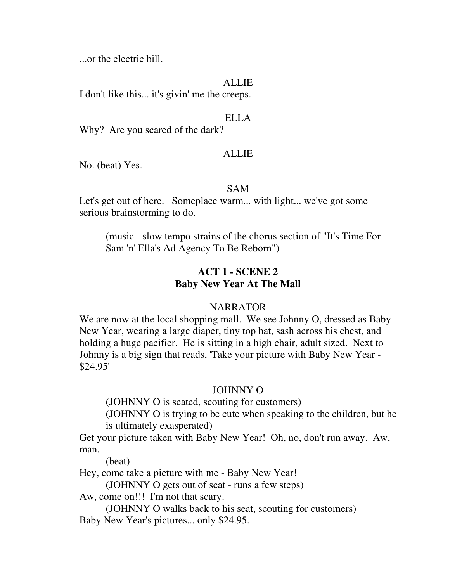...or the electric bill.

### ALLIE

I don't like this... it's givin' me the creeps.

## ELLA

Why? Are you scared of the dark?

#### ALLIE

No. (beat) Yes.

#### SAM

Let's get out of here. Someplace warm... with light... we've got some serious brainstorming to do.

 (music - slow tempo strains of the chorus section of "It's Time For Sam 'n' Ella's Ad Agency To Be Reborn")

# **ACT 1 - SCENE 2 Baby New Year At The Mall**

## NARRATOR

We are now at the local shopping mall. We see Johnny O, dressed as Baby New Year, wearing a large diaper, tiny top hat, sash across his chest, and holding a huge pacifier. He is sitting in a high chair, adult sized. Next to Johnny is a big sign that reads, 'Take your picture with Baby New Year - \$24.95'

#### JOHNNY O

(JOHNNY O is seated, scouting for customers)

 (JOHNNY O is trying to be cute when speaking to the children, but he is ultimately exasperated)

Get your picture taken with Baby New Year! Oh, no, don't run away. Aw, man.

(beat)

Hey, come take a picture with me - Baby New Year!

(JOHNNY O gets out of seat - runs a few steps)

Aw, come on!!! I'm not that scary.

 (JOHNNY O walks back to his seat, scouting for customers) Baby New Year's pictures... only \$24.95.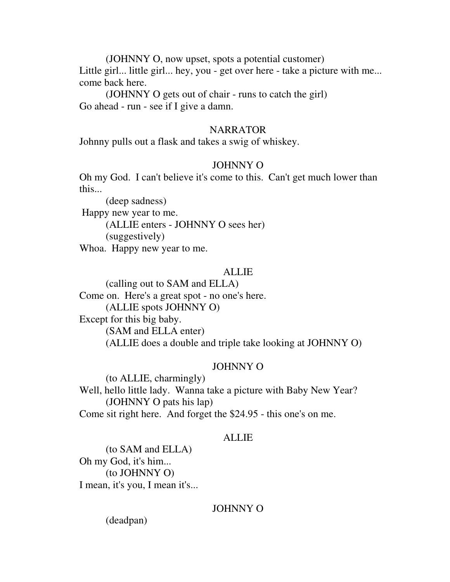(JOHNNY O, now upset, spots a potential customer) Little girl... little girl... hey, you - get over here - take a picture with me... come back here.

 (JOHNNY O gets out of chair - runs to catch the girl) Go ahead - run - see if I give a damn.

#### **NARRATOR**

Johnny pulls out a flask and takes a swig of whiskey.

#### JOHNNY O

Oh my God. I can't believe it's come to this. Can't get much lower than this...

 (deep sadness) Happy new year to me. (ALLIE enters - JOHNNY O sees her) (suggestively) Whoa. Happy new year to me.

## **ALLIE**

 (calling out to SAM and ELLA) Come on. Here's a great spot - no one's here. (ALLIE spots JOHNNY O) Except for this big baby. (SAM and ELLA enter) (ALLIE does a double and triple take looking at JOHNNY O)

## JOHNNY O

 (to ALLIE, charmingly) Well, hello little lady. Wanna take a picture with Baby New Year? (JOHNNY O pats his lap) Come sit right here. And forget the \$24.95 - this one's on me.

#### ALLIE

 (to SAM and ELLA) Oh my God, it's him... (to JOHNNY O) I mean, it's you, I mean it's...

#### JOHNNY O

(deadpan)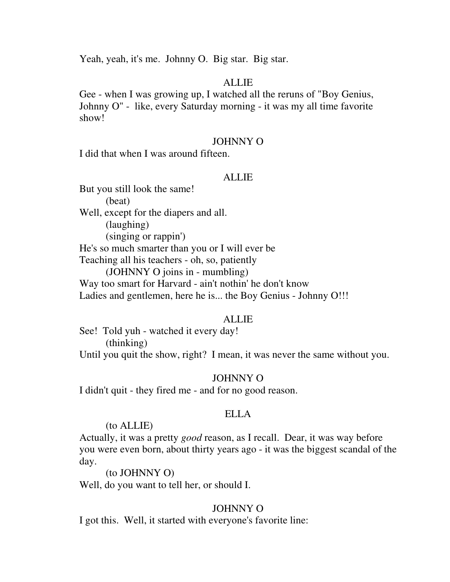Yeah, yeah, it's me. Johnny O. Big star. Big star.

## **ALLIE**

Gee - when I was growing up, I watched all the reruns of "Boy Genius, Johnny O" - like, every Saturday morning - it was my all time favorite show!

## JOHNNY O

I did that when I was around fifteen.

#### ALLIE

But you still look the same! (beat) Well, except for the diapers and all. (laughing) (singing or rappin') He's so much smarter than you or I will ever be Teaching all his teachers - oh, so, patiently (JOHNNY O joins in - mumbling) Way too smart for Harvard - ain't nothin' he don't know Ladies and gentlemen, here he is... the Boy Genius - Johnny O!!!

#### ALLIE

See! Told yuh - watched it every day! (thinking) Until you quit the show, right? I mean, it was never the same without you.

#### JOHNNY O

I didn't quit - they fired me - and for no good reason.

## ELLA

(to ALLIE)

Actually, it was a pretty *good* reason, as I recall. Dear, it was way before you were even born, about thirty years ago - it was the biggest scandal of the day.

(to JOHNNY O)

Well, do you want to tell her, or should I.

#### JOHNNY O

I got this. Well, it started with everyone's favorite line: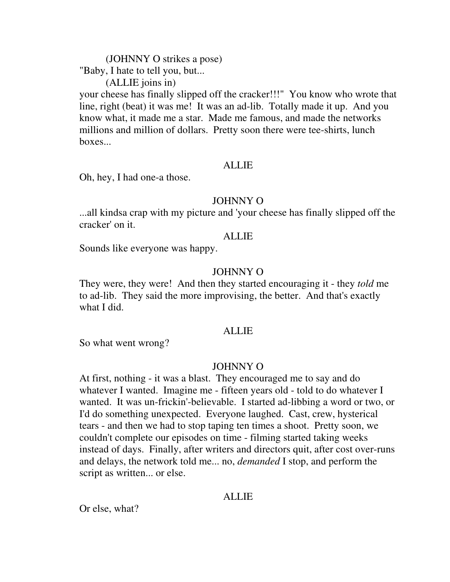(JOHNNY O strikes a pose)

"Baby, I hate to tell you, but...

(ALLIE joins in)

your cheese has finally slipped off the cracker!!!" You know who wrote that line, right (beat) it was me! It was an ad-lib. Totally made it up. And you know what, it made me a star. Made me famous, and made the networks millions and million of dollars. Pretty soon there were tee-shirts, lunch boxes...

## ALLIE

Oh, hey, I had one-a those.

## JOHNNY O

...all kindsa crap with my picture and 'your cheese has finally slipped off the cracker' on it.

## ALLIE

Sounds like everyone was happy.

# JOHNNY O

They were, they were! And then they started encouraging it - they *told* me to ad-lib. They said the more improvising, the better. And that's exactly what I did.

### ALLIE

So what went wrong?

### JOHNNY O

At first, nothing - it was a blast. They encouraged me to say and do whatever I wanted. Imagine me - fifteen years old - told to do whatever I wanted. It was un-frickin'-believable. I started ad-libbing a word or two, or I'd do something unexpected. Everyone laughed. Cast, crew, hysterical tears - and then we had to stop taping ten times a shoot. Pretty soon, we couldn't complete our episodes on time - filming started taking weeks instead of days. Finally, after writers and directors quit, after cost over-runs and delays, the network told me... no, *demanded* I stop, and perform the script as written... or else.

# ALLIE

Or else, what?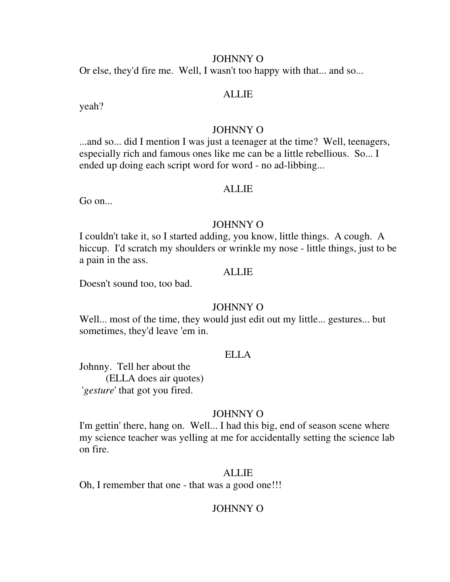### JOHNNY O

Or else, they'd fire me. Well, I wasn't too happy with that... and so...

## **ALLIE**

yeah?

# JOHNNY O

...and so... did I mention I was just a teenager at the time? Well, teenagers, especially rich and famous ones like me can be a little rebellious. So... I ended up doing each script word for word - no ad-libbing...

#### ALLIE

Go on...

## JOHNNY O

I couldn't take it, so I started adding, you know, little things. A cough. A hiccup. I'd scratch my shoulders or wrinkle my nose - little things, just to be a pain in the ass.

## **ALLIE**

Doesn't sound too, too bad.

## JOHNNY O

Well... most of the time, they would just edit out my little... gestures... but sometimes, they'd leave 'em in.

## ELLA

Johnny. Tell her about the (ELLA does air quotes) '*gesture*' that got you fired.

## JOHNNY O

I'm gettin' there, hang on. Well... I had this big, end of season scene where my science teacher was yelling at me for accidentally setting the science lab on fire.

### ALLIE

Oh, I remember that one - that was a good one!!!

# JOHNNY O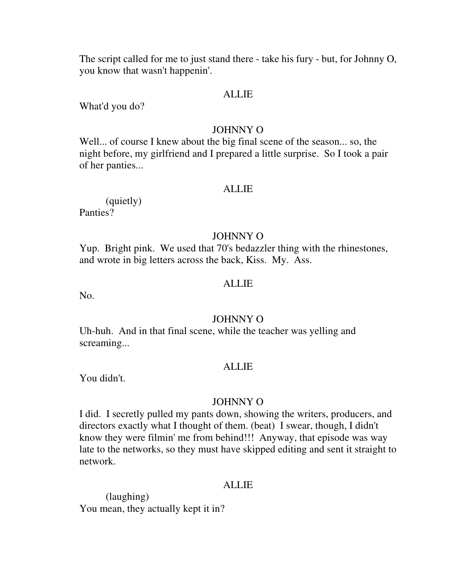The script called for me to just stand there - take his fury - but, for Johnny O, you know that wasn't happenin'.

## **ALLIE**

What'd you do?

#### JOHNNY O

Well... of course I knew about the big final scene of the season... so, the night before, my girlfriend and I prepared a little surprise. So I took a pair of her panties...

#### ALLIE

 (quietly) Panties?

#### JOHNNY O

Yup. Bright pink. We used that 70's bedazzler thing with the rhinestones, and wrote in big letters across the back, Kiss. My. Ass.

#### ALLIE

No.

#### JOHNNY O

Uh-huh. And in that final scene, while the teacher was yelling and screaming...

#### ALLIE

You didn't.

#### JOHNNY O

I did. I secretly pulled my pants down, showing the writers, producers, and directors exactly what I thought of them. (beat) I swear, though, I didn't know they were filmin' me from behind!!! Anyway, that episode was way late to the networks, so they must have skipped editing and sent it straight to network.

#### ALLIE

 (laughing) You mean, they actually kept it in?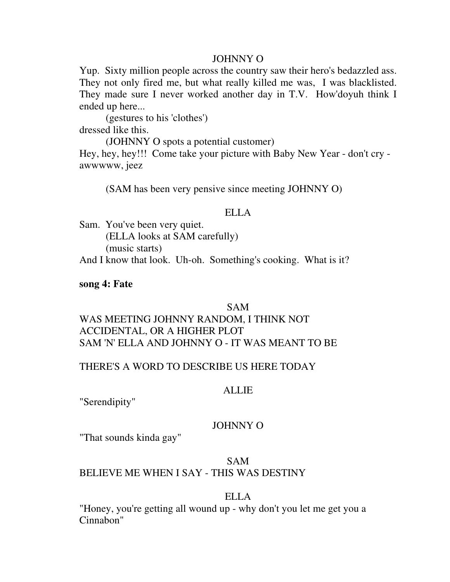## JOHNNY O

Yup. Sixty million people across the country saw their hero's bedazzled ass. They not only fired me, but what really killed me was, I was blacklisted. They made sure I never worked another day in T.V. How'doyuh think I ended up here...

 (gestures to his 'clothes') dressed like this.

(JOHNNY O spots a potential customer)

Hey, hey, hey!!! Come take your picture with Baby New Year - don't cry awwwww, jeez

(SAM has been very pensive since meeting JOHNNY O)

## ELLA

Sam. You've been very quiet. (ELLA looks at SAM carefully) (music starts)

And I know that look. Uh-oh. Something's cooking. What is it?

## **song 4: Fate**

## SAM

# WAS MEETING JOHNNY RANDOM, I THINK NOT ACCIDENTAL, OR A HIGHER PLOT SAM 'N' ELLA AND JOHNNY O - IT WAS MEANT TO BE

## THERE'S A WORD TO DESCRIBE US HERE TODAY

### ALLIE

"Serendipity"

## JOHNNY O

"That sounds kinda gay"

## SAM

# BELIEVE ME WHEN I SAY - THIS WAS DESTINY

## ELLA

"Honey, you're getting all wound up - why don't you let me get you a Cinnabon"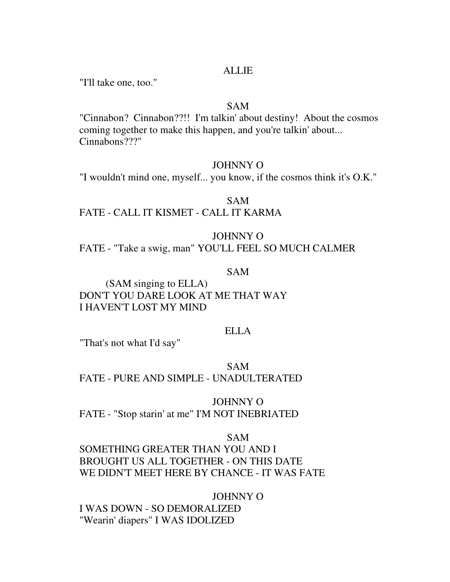#### ALLIE

"I'll take one, too."

# SAM

"Cinnabon? Cinnabon??!! I'm talkin' about destiny! About the cosmos coming together to make this happen, and you're talkin' about... Cinnabons???"

#### JOHNNY O

"I wouldn't mind one, myself... you know, if the cosmos think it's O.K."

# SAM

FATE - CALL IT KISMET - CALL IT KARMA

### JOHNNY O

FATE - "Take a swig, man" YOU'LL FEEL SO MUCH CALMER

## SAM

# (SAM singing to ELLA) DON'T YOU DARE LOOK AT ME THAT WAY I HAVEN'T LOST MY MIND

## ELLA

"That's not what I'd say"

SAM FATE - PURE AND SIMPLE - UNADULTERATED

JOHNNY O

FATE - "Stop starin' at me" I'M NOT INEBRIATED

## SAM

SOMETHING GREATER THAN YOU AND I BROUGHT US ALL TOGETHER - ON THIS DATE WE DIDN'T MEET HERE BY CHANCE - IT WAS FATE

JOHNNY O

I WAS DOWN - SO DEMORALIZED "Wearin' diapers" I WAS IDOLIZED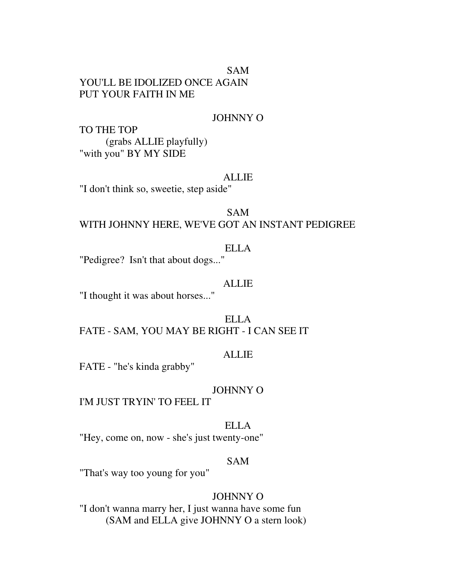# SAM YOU'LL BE IDOLIZED ONCE AGAIN PUT YOUR FAITH IN ME

## JOHNNY O

TO THE TOP (grabs ALLIE playfully) "with you" BY MY SIDE

#### ALLIE

"I don't think so, sweetie, step aside"

## SAM WITH JOHNNY HERE, WE'VE GOT AN INSTANT PEDIGREE

## ELLA

"Pedigree? Isn't that about dogs..."

#### ALLIE

"I thought it was about horses..."

ELLA FATE - SAM, YOU MAY BE RIGHT - I CAN SEE IT

#### ALLIE

FATE - "he's kinda grabby"

#### JOHNNY O

I'M JUST TRYIN' TO FEEL IT

## ELLA

"Hey, come on, now - she's just twenty-one"

## SAM

"That's way too young for you"

## JOHNNY O

"I don't wanna marry her, I just wanna have some fun (SAM and ELLA give JOHNNY O a stern look)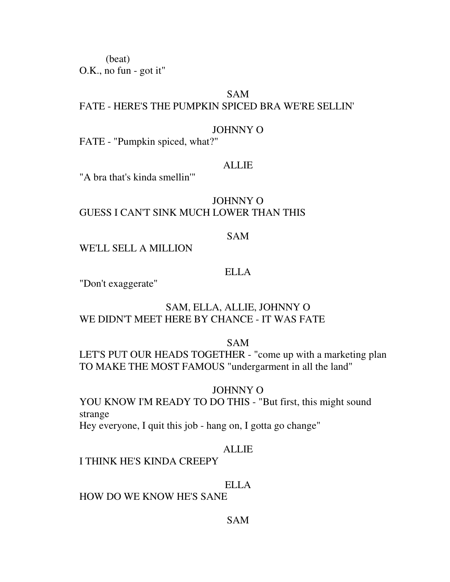(beat)

O.K., no fun - got it"

## SAM

# FATE - HERE'S THE PUMPKIN SPICED BRA WE'RE SELLIN'

## JOHNNY O

FATE - "Pumpkin spiced, what?"

### ALLIE

"A bra that's kinda smellin'"

# JOHNNY O GUESS I CAN'T SINK MUCH LOWER THAN THIS

## SAM

WE'LL SELL A MILLION

## ELLA

"Don't exaggerate"

# SAM, ELLA, ALLIE, JOHNNY O WE DIDN'T MEET HERE BY CHANCE - IT WAS FATE

SAM

LET'S PUT OUR HEADS TOGETHER - "come up with a marketing plan TO MAKE THE MOST FAMOUS "undergarment in all the land"

### JOHNNY O

YOU KNOW I'M READY TO DO THIS - "But first, this might sound strange Hey everyone, I quit this job - hang on, I gotta go change"

### ALLIE

I THINK HE'S KINDA CREEPY

### ELLA

HOW DO WE KNOW HE'S SANE

## SAM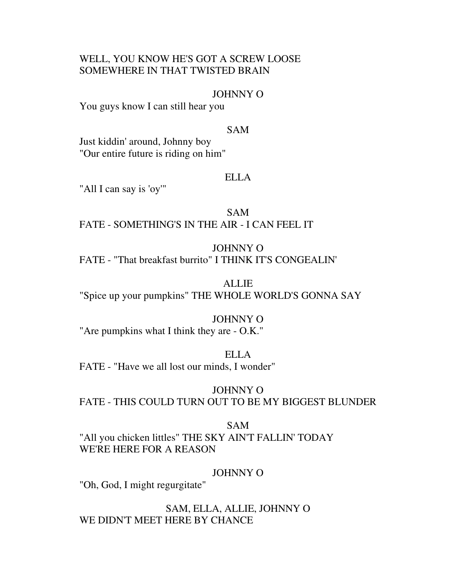## WELL, YOU KNOW HE'S GOT A SCREW LOOSE SOMEWHERE IN THAT TWISTED BRAIN

## JOHNNY O

You guys know I can still hear you

## SAM

Just kiddin' around, Johnny boy "Our entire future is riding on him"

# ELLA

"All I can say is 'oy'"

# SAM

FATE - SOMETHING'S IN THE AIR - I CAN FEEL IT

## JOHNNY O

FATE - "That breakfast burrito" I THINK IT'S CONGEALIN'

## ALLIE "Spice up your pumpkins" THE WHOLE WORLD'S GONNA SAY

### JOHNNY O

"Are pumpkins what I think they are - O.K."

#### ELLA FATE - "Have we all lost our minds, I wonder"

# JOHNNY O

FATE - THIS COULD TURN OUT TO BE MY BIGGEST BLUNDER

# SAM

"All you chicken littles" THE SKY AIN'T FALLIN' TODAY WE'RE HERE FOR A REASON

## JOHNNY O

"Oh, God, I might regurgitate"

SAM, ELLA, ALLIE, JOHNNY O WE DIDN'T MEET HERE BY CHANCE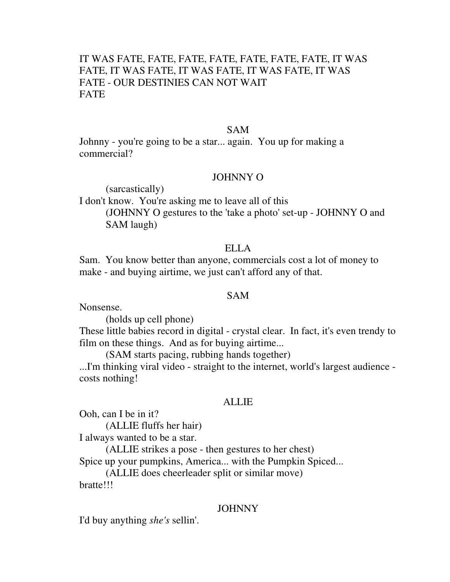# IT WAS FATE, FATE, FATE, FATE, FATE, FATE, FATE, IT WAS FATE, IT WAS FATE, IT WAS FATE, IT WAS FATE, IT WAS FATE - OUR DESTINIES CAN NOT WAIT FATE

## SAM

Johnny - you're going to be a star... again. You up for making a commercial?

#### JOHNNY O

(sarcastically)

I don't know. You're asking me to leave all of this (JOHNNY O gestures to the 'take a photo' set-up - JOHNNY O and SAM laugh)

## ELLA

Sam. You know better than anyone, commercials cost a lot of money to make - and buying airtime, we just can't afford any of that.

#### SAM

Nonsense.

(holds up cell phone)

These little babies record in digital - crystal clear. In fact, it's even trendy to film on these things. And as for buying airtime...

(SAM starts pacing, rubbing hands together)

...I'm thinking viral video - straight to the internet, world's largest audience costs nothing!

#### ALLIE

Ooh, can I be in it?

(ALLIE fluffs her hair)

I always wanted to be a star.

 (ALLIE strikes a pose - then gestures to her chest) Spice up your pumpkins, America... with the Pumpkin Spiced...

 (ALLIE does cheerleader split or similar move) bratte!!!

#### JOHNNY

I'd buy anything *she's* sellin'.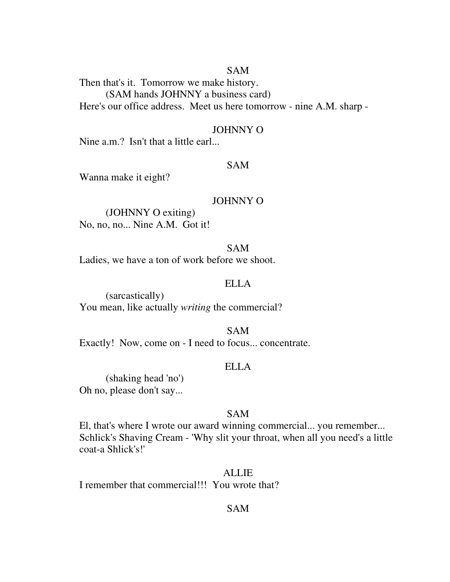# SAM

Then that's it. Tomorrow we make history. (SAM hands JOHNNY a business card) Here's our office address. Meet us here tomorrow - nine A.M. sharp -

## JOHNNY O

Nine a.m.? Isn't that a little earl...

### SAM

Wanna make it eight?

#### JOHNNY O

 (JOHNNY O exiting) No, no, no... Nine A.M. Got it!

## SAM

Ladies, we have a ton of work before we shoot.

#### ELLA

 (sarcastically) You mean, like actually *writing* the commercial?

SAM Exactly! Now, come on - I need to focus... concentrate.

#### ELLA

 (shaking head 'no') Oh no, please don't say...

### SAM

El, that's where I wrote our award winning commercial... you remember... Schlick's Shaving Cream - 'Why slit your throat, when all you need's a little coat-a Shlick's!'

### ALLIE

I remember that commercial!!! You wrote that?

## SAM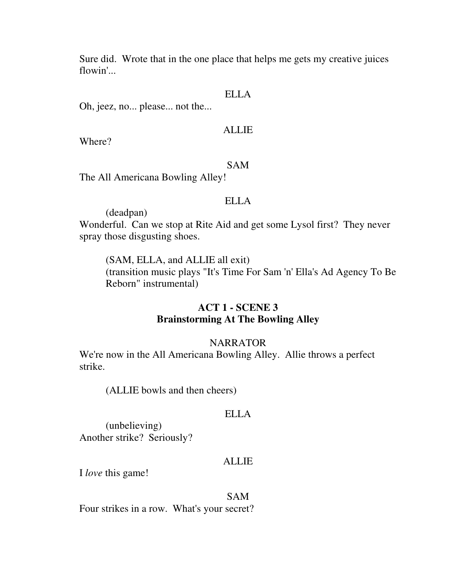Sure did. Wrote that in the one place that helps me gets my creative juices flowin'...

## ELLA

Oh, jeez, no... please... not the...

## ALLIE

Where?

### SAM

The All Americana Bowling Alley!

#### ELLA

(deadpan)

Wonderful. Can we stop at Rite Aid and get some Lysol first? They never spray those disgusting shoes.

 (SAM, ELLA, and ALLIE all exit) (transition music plays "It's Time For Sam 'n' Ella's Ad Agency To Be Reborn" instrumental)

# **ACT 1 - SCENE 3 Brainstorming At The Bowling Alley**

## NARRATOR

We're now in the All Americana Bowling Alley. Allie throws a perfect strike.

(ALLIE bowls and then cheers)

## ELLA

 (unbelieving) Another strike? Seriously?

#### ALLIE

I *love* this game!

SAM Four strikes in a row. What's your secret?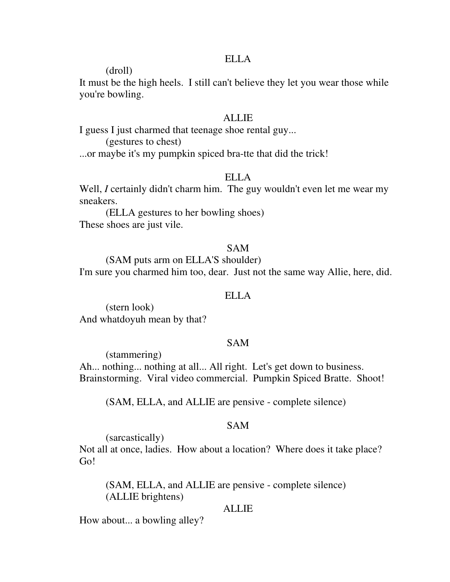#### ELLA

(droll)

It must be the high heels. I still can't believe they let you wear those while you're bowling.

## ALLIE

I guess I just charmed that teenage shoe rental guy... (gestures to chest) ...or maybe it's my pumpkin spiced bra-tte that did the trick!

## ELLA

Well, *I* certainly didn't charm him. The guy wouldn't even let me wear my sneakers.

 (ELLA gestures to her bowling shoes) These shoes are just vile.

## SAM

 (SAM puts arm on ELLA'S shoulder) I'm sure you charmed him too, dear. Just not the same way Allie, here, did.

### ELLA

 (stern look) And whatdoyuh mean by that?

## SAM

 (stammering) Ah... nothing... nothing at all... All right. Let's get down to business. Brainstorming. Viral video commercial. Pumpkin Spiced Bratte. Shoot!

(SAM, ELLA, and ALLIE are pensive - complete silence)

## SAM

(sarcastically)

Not all at once, ladies. How about a location? Where does it take place? Go!

 (SAM, ELLA, and ALLIE are pensive - complete silence) (ALLIE brightens)

## ALLIE

How about... a bowling alley?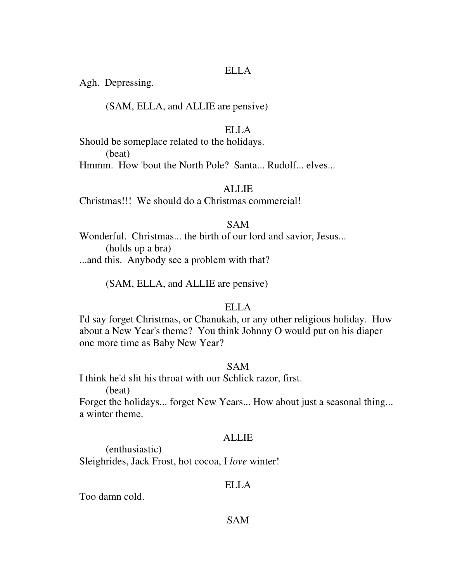#### ELLA

Agh. Depressing.

(SAM, ELLA, and ALLIE are pensive)

# ELLA

Should be someplace related to the holidays.

(beat)

Hmmm. How 'bout the North Pole? Santa... Rudolf... elves...

## ALLIE

Christmas!!! We should do a Christmas commercial!

## SAM

Wonderful. Christmas... the birth of our lord and savior, Jesus... (holds up a bra) ...and this. Anybody see a problem with that?

(SAM, ELLA, and ALLIE are pensive)

## ELLA

I'd say forget Christmas, or Chanukah, or any other religious holiday. How about a New Year's theme? You think Johnny O would put on his diaper one more time as Baby New Year?

## SAM

I think he'd slit his throat with our Schlick razor, first. (beat) Forget the holidays... forget New Years... How about just a seasonal thing... a winter theme.

### ALLIE

 (enthusiastic) Sleighrides, Jack Frost, hot cocoa, I *love* winter!

## ELLA

Too damn cold.

## SAM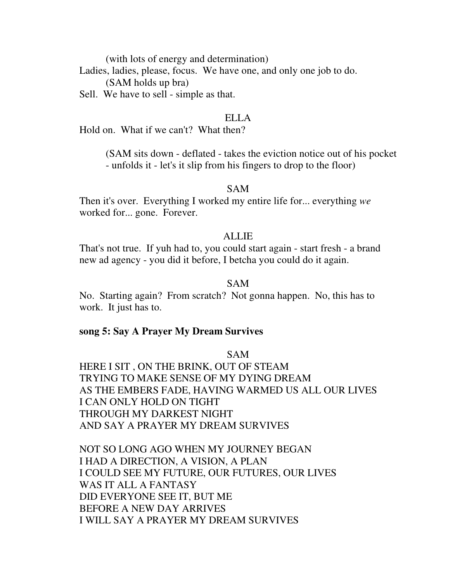(with lots of energy and determination)

Ladies, ladies, please, focus. We have one, and only one job to do.

(SAM holds up bra)

Sell. We have to sell - simple as that.

# ELLA

Hold on. What if we can't? What then?

 (SAM sits down - deflated - takes the eviction notice out of his pocket - unfolds it - let's it slip from his fingers to drop to the floor)

## SAM

Then it's over. Everything I worked my entire life for... everything *we* worked for... gone. Forever.

## ALLIE

That's not true. If yuh had to, you could start again - start fresh - a brand new ad agency - you did it before, I betcha you could do it again.

# SAM

No. Starting again? From scratch? Not gonna happen. No, this has to work. It just has to.

## **song 5: Say A Prayer My Dream Survives**

SAM

HERE I SIT , ON THE BRINK, OUT OF STEAM TRYING TO MAKE SENSE OF MY DYING DREAM AS THE EMBERS FADE, HAVING WARMED US ALL OUR LIVES I CAN ONLY HOLD ON TIGHT THROUGH MY DARKEST NIGHT AND SAY A PRAYER MY DREAM SURVIVES

NOT SO LONG AGO WHEN MY JOURNEY BEGAN I HAD A DIRECTION, A VISION, A PLAN I COULD SEE MY FUTURE, OUR FUTURES, OUR LIVES WAS IT ALL A FANTASY DID EVERYONE SEE IT, BUT ME BEFORE A NEW DAY ARRIVES I WILL SAY A PRAYER MY DREAM SURVIVES